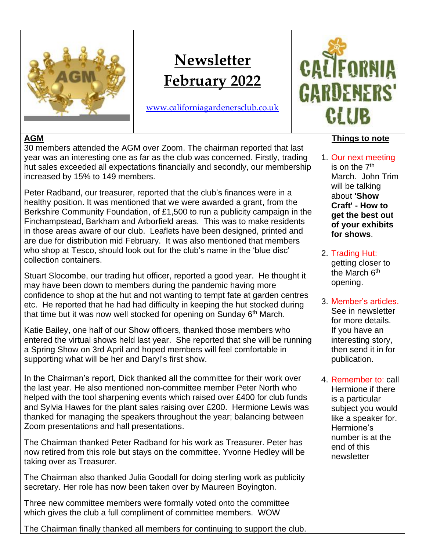

# **Newsletter February 2022**

[www.californiagardenersclub.co.uk](http://www.californiagardenersclub.co.uk/)



# **AGM**

30 members attended the AGM over Zoom. The chairman reported that last year was an interesting one as far as the club was concerned. Firstly, trading hut sales exceeded all expectations financially and secondly, our membership increased by 15% to 149 members.

Peter Radband, our treasurer, reported that the club's finances were in a healthy position. It was mentioned that we were awarded a grant, from the Berkshire Community Foundation, of £1,500 to run a publicity campaign in the Finchampstead, Barkham and Arborfield areas. This was to make residents in those areas aware of our club. Leaflets have been designed, printed and are due for distribution mid February. It was also mentioned that members who shop at Tesco, should look out for the club's name in the 'blue disc' collection containers.

Stuart Slocombe, our trading hut officer, reported a good year. He thought it may have been down to members during the pandemic having more confidence to shop at the hut and not wanting to tempt fate at garden centres etc. He reported that he had had difficulty in keeping the hut stocked during that time but it was now well stocked for opening on Sunday 6<sup>th</sup> March.

Katie Bailey, one half of our Show officers, thanked those members who entered the virtual shows held last year. She reported that she will be running a Spring Show on 3rd April and hoped members will feel comfortable in supporting what will be her and Daryl's first show.

In the Chairman's report, Dick thanked all the committee for their work over the last year. He also mentioned non-committee member Peter North who helped with the tool sharpening events which raised over £400 for club funds and Sylvia Hawes for the plant sales raising over £200. Hermione Lewis was thanked for managing the speakers throughout the year; balancing between Zoom presentations and hall presentations.

The Chairman thanked Peter Radband for his work as Treasurer. Peter has now retired from this role but stays on the committee. Yvonne Hedley will be taking over as Treasurer.

The Chairman also thanked Julia Goodall for doing sterling work as publicity secretary. Her role has now been taken over by Maureen Boyington.

Three new committee members were formally voted onto the committee which gives the club a full compliment of committee members. WOW

The Chairman finally thanked all members for continuing to support the club.

# **Things to note**

- 1. Our next meeting is on the 7<sup>th</sup> March. John Trim will be talking about **'Show Craft' - How to get the best out of your exhibits for shows**.
- 2. Trading Hut: getting closer to the March 6<sup>th</sup> opening.
- 3. Member's articles. See in newsletter for more details. If you have an interesting story, then send it in for publication.
- 4. Remember to: call Hermione if there is a particular subject you would like a speaker for. Hermione's number is at the end of this newsletter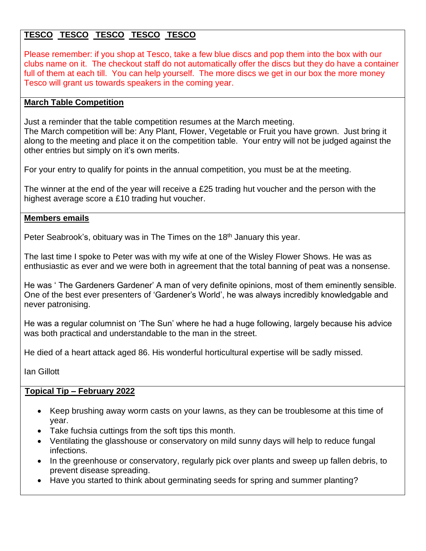# **TESCO TESCO TESCO TESCO TESCO**

Please remember: if you shop at Tesco, take a few blue discs and pop them into the box with our clubs name on it. The checkout staff do not automatically offer the discs but they do have a container full of them at each till. You can help yourself. The more discs we get in our box the more money Tesco will grant us towards speakers in the coming year.

## **March Table Competition**

Just a reminder that the table competition resumes at the March meeting.

The March competition will be: Any Plant, Flower, Vegetable or Fruit you have grown. Just bring it along to the meeting and place it on the competition table. Your entry will not be judged against the other entries but simply on it's own merits.

For your entry to qualify for points in the annual competition, you must be at the meeting.

The winner at the end of the year will receive a £25 trading hut voucher and the person with the highest average score a £10 trading hut voucher.

## **Members emails**

Peter Seabrook's, obituary was in The Times on the 18<sup>th</sup> January this year.

The last time I spoke to Peter was with my wife at one of the Wisley Flower Shows. He was as enthusiastic as ever and we were both in agreement that the total banning of peat was a nonsense.

He was ' The Gardeners Gardener' A man of very definite opinions, most of them eminently sensible. One of the best ever presenters of 'Gardener's World', he was always incredibly knowledgable and never patronising.

He was a regular columnist on 'The Sun' where he had a huge following, largely because his advice was both practical and understandable to the man in the street.

He died of a heart attack aged 86. His wonderful horticultural expertise will be sadly missed.

Ian Gillott

# **Topical Tip – February 2022**

- [Keep brushing away worm casts](https://www.rhs.org.uk/advice/profile?PID=495) on your lawns, as they can be troublesome at this time of year.
- [Take fuchsia cuttings](https://www.rhs.org.uk/advice/profile?PID=307) from the soft tips this month.
- Ventilating the glasshouse or conservatory on mild sunny days will help to reduce fungal infections.
- In the greenhouse or conservatory, regularly pick over plants and sweep up fallen debris, to prevent disease spreading.
- Have you started to think about germinating seeds for spring and summer planting?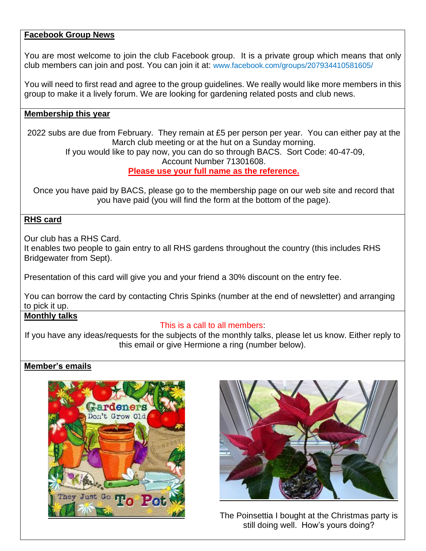#### **Facebook Group News**

You are most welcome to join the club Facebook group. It is a private group which means that only club members can join and post. You can join it at: [www.facebook.com/groups/207934410581605/](http://www.facebook.com/groups/207934410581605/)

You will need to first read and agree to the group guidelines. We really would like more members in this group to make it a lively forum. We are looking for gardening related posts and club news.

#### **Membership this year**

2022 subs are due from February. They remain at £5 per person per year. You can either pay at the March club meeting or at the hut on a Sunday morning. If you would like to pay now, you can do so through BACS. Sort Code: 40-47-09,

Account Number 71301608.

#### **Please use your full name as the reference.**

Once you have paid by BACS, please go to the membership page on our web site and record that you have paid (you will find the form at the bottom of the page).

#### **RHS card**

Our club has a RHS Card.

It enables two people to gain entry to all RHS gardens throughout the country (this includes RHS Bridgewater from Sept).

Presentation of this card will give you and your friend a 30% discount on the entry fee.

You can borrow the card by contacting Chris Spinks (number at the end of newsletter) and arranging to pick it up.

#### **Monthly talks**

#### This is a call to all members:

If you have any ideas/requests for the subjects of the monthly talks, please let us know. Either reply to this email or give Hermione a ring (number below).

#### **Member's emails**





The Poinsettia I bought at the Christmas party is still doing well. How's yours doing?